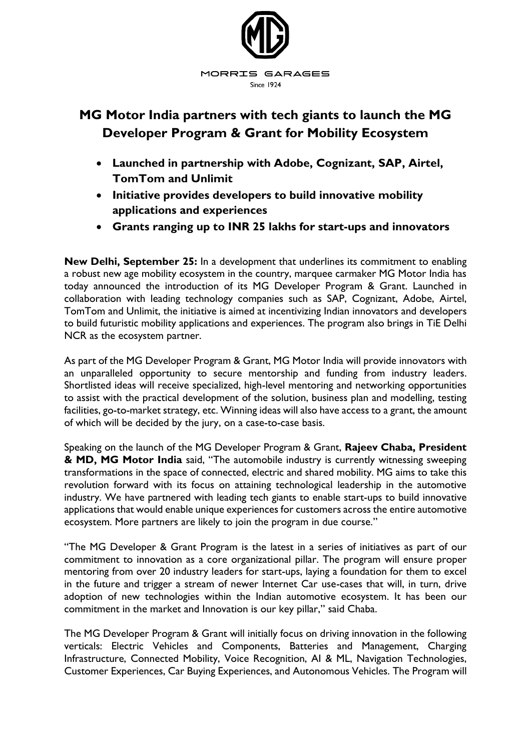

# **MG Motor India partners with tech giants to launch the MG Developer Program & Grant for Mobility Ecosystem**

- **Launched in partnership with Adobe, Cognizant, SAP, Airtel, TomTom and Unlimit**
- **Initiative provides developers to build innovative mobility applications and experiences**
- **Grants ranging up to INR 25 lakhs for start-ups and innovators**

**New Delhi, September 25:** In a development that underlines its commitment to enabling a robust new age mobility ecosystem in the country, marquee carmaker MG Motor India has today announced the introduction of its MG Developer Program & Grant. Launched in collaboration with leading technology companies such as SAP, Cognizant, Adobe, Airtel, TomTom and Unlimit, the initiative is aimed at incentivizing Indian innovators and developers to build futuristic mobility applications and experiences. The program also brings in TiE Delhi NCR as the ecosystem partner.

As part of the MG Developer Program & Grant, MG Motor India will provide innovators with an unparalleled opportunity to secure mentorship and funding from industry leaders. Shortlisted ideas will receive specialized, high-level mentoring and networking opportunities to assist with the practical development of the solution, business plan and modelling, testing facilities, go-to-market strategy, etc. Winning ideas will also have access to a grant, the amount of which will be decided by the jury, on a case-to-case basis.

Speaking on the launch of the MG Developer Program & Grant, **Rajeev Chaba, President & MD, MG Motor India** said, "The automobile industry is currently witnessing sweeping transformations in the space of connected, electric and shared mobility. MG aims to take this revolution forward with its focus on attaining technological leadership in the automotive industry. We have partnered with leading tech giants to enable start-ups to build innovative applications that would enable unique experiences for customers across the entire automotive ecosystem. More partners are likely to join the program in due course."

"The MG Developer & Grant Program is the latest in a series of initiatives as part of our commitment to innovation as a core organizational pillar. The program will ensure proper mentoring from over 20 industry leaders for start-ups, laying a foundation for them to excel in the future and trigger a stream of newer Internet Car use-cases that will, in turn, drive adoption of new technologies within the Indian automotive ecosystem. It has been our commitment in the market and Innovation is our key pillar," said Chaba.

The MG Developer Program & Grant will initially focus on driving innovation in the following verticals: Electric Vehicles and Components, Batteries and Management, Charging Infrastructure, Connected Mobility, Voice Recognition, AI & ML, Navigation Technologies, Customer Experiences, Car Buying Experiences, and Autonomous Vehicles. The Program will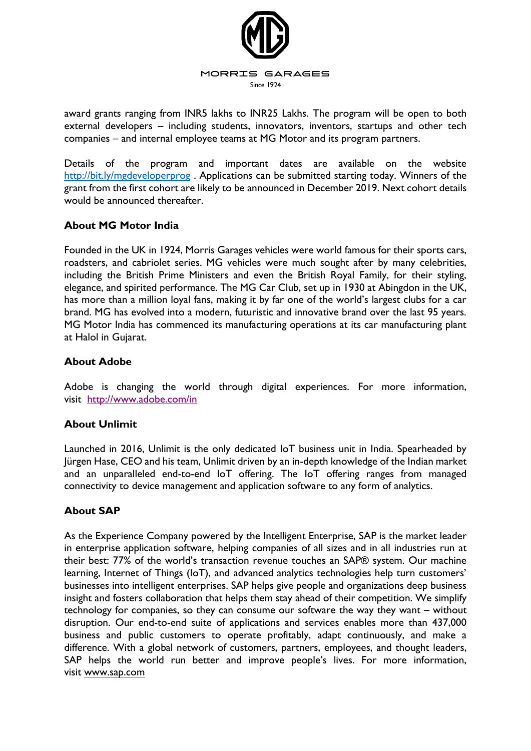

award grants ranging from INR5 lakhs to INR25 Lakhs. The program will be open to both external developers – including students, innovators, inventors, startups and other tech companies – and internal employee teams at MG Motor and its program partners.

Details of the program and important dates are available on the website <http://bit.ly/mgdeveloperprog>. Applications can be submitted starting today. Winners of the grant from the first cohort are likely to be announced in December 2019. Next cohort details would be announced thereafter.

## **About MG Motor India**

Founded in the UK in 1924, Morris Garages vehicles were world famous for their sports cars, roadsters, and cabriolet series. MG vehicles were much sought after by many celebrities, including the British Prime Ministers and even the British Royal Family, for their styling, elegance, and spirited performance. The MG Car Club, set up in 1930 at Abingdon in the UK, has more than a million loyal fans, making it by far one of the world's largest clubs for a car brand. MG has evolved into a modern, futuristic and innovative brand over the last 95 years. MG Motor India has commenced its manufacturing operations at its car manufacturing plant at Halol in Gujarat.

#### **About Adobe**

Adobe is changing the world through digital experiences. For more information, visit <http://www.adobe.com/in>

## **About Unlimit**

Launched in 2016, Unlimit is the only dedicated IoT business unit in India. Spearheaded by Jürgen Hase, CEO and his team, Unlimit driven by an in-depth knowledge of the Indian market and an unparalleled end-to-end IoT offering. The IoT offering ranges from managed connectivity to device management and application software to any form of analytics.

## **About SAP**

As the Experience Company powered by the Intelligent Enterprise, SAP is the market leader in enterprise application software, helping companies of all sizes and in all industries run at their best: 77% of the world's transaction revenue touches an SAP® system. Our machine learning, Internet of Things (IoT), and advanced analytics technologies help turn customers' businesses into intelligent enterprises. SAP helps give people and organizations deep business insight and fosters collaboration that helps them stay ahead of their competition. We simplify technology for companies, so they can consume our software the way they want – without disruption. Our end-to-end suite of applications and services enables more than 437,000 business and public customers to operate profitably, adapt continuously, and make a difference. With a global network of customers, partners, employees, and thought leaders, SAP helps the world run better and improve people's lives. For more information, visit [www.sap.com](http://www.sap.com/)